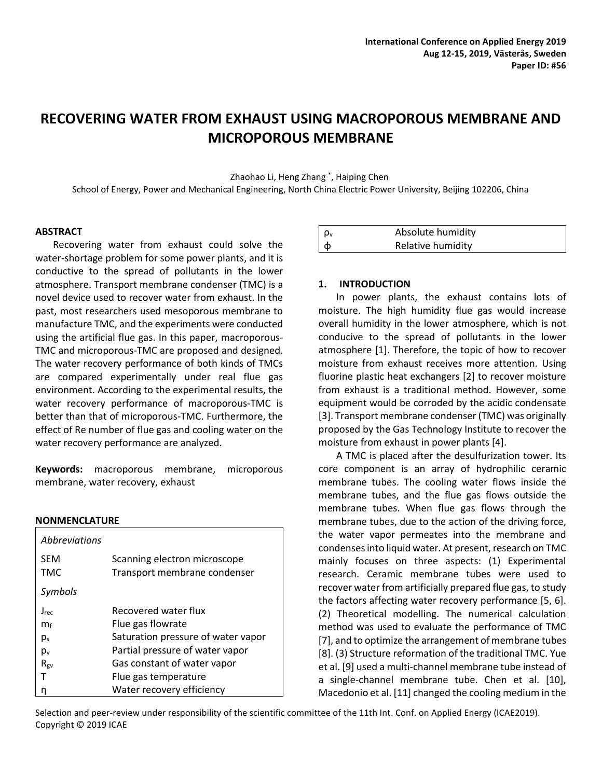# **RECOVERING WATER FROM EXHAUST USING MACROPOROUS MEMBRANE AND MICROPOROUS MEMBRANE**

Zhaohao Li, Heng Zhang \* , Haiping Chen

School of Energy, Power and Mechanical Engineering, North China Electric Power University, Beijing 102206, China

#### **ABSTRACT**

Recovering water from exhaust could solve the water-shortage problem for some power plants, and it is conductive to the spread of pollutants in the lower atmosphere. Transport membrane condenser (TMC) is a novel device used to recover water from exhaust. In the past, most researchers used mesoporous membrane to manufacture TMC, and the experiments were conducted using the artificial flue gas. In this paper, macroporous-TMC and microporous-TMC are proposed and designed. The water recovery performance of both kinds of TMCs are compared experimentally under real flue gas environment. According to the experimental results, the water recovery performance of macroporous-TMC is better than that of microporous-TMC. Furthermore, the effect of Re number of flue gas and cooling water on the water recovery performance are analyzed.

**Keywords:** macroporous membrane, microporous membrane, water recovery, exhaust

#### **NONMENCLATURE**

| <i>Abbreviations</i> |                                    |
|----------------------|------------------------------------|
| <b>SEM</b>           | Scanning electron microscope       |
| <b>TMC</b>           | Transport membrane condenser       |
| Symbols              |                                    |
| $J_{\text{rec}}$     | Recovered water flux               |
| $m_f$                | Flue gas flowrate                  |
| $p_s$                | Saturation pressure of water vapor |
| $p_v$                | Partial pressure of water vapor    |
| $R_{\rm gv}$         | Gas constant of water vapor        |
|                      | Flue gas temperature               |
|                      | Water recovery efficiency          |

| $\int$ $\rho$ <sub>v</sub> | Absolute humidity |  |
|----------------------------|-------------------|--|
| $\phi$                     | Relative humidity |  |

#### **1. INTRODUCTION**

In power plants, the exhaust contains lots of moisture. The high humidity flue gas would increase overall humidity in the lower atmosphere, which is not conducive to the spread of pollutants in the lower atmosphere [1]. Therefore, the topic of how to recover moisture from exhaust receives more attention. Using fluorine plastic heat exchangers [2] to recover moisture from exhaust is a traditional method. However, some equipment would be corroded by the acidic condensate [3]. Transport membrane condenser (TMC) was originally proposed by the Gas Technology Institute to recover the moisture from exhaust in power plants [4].

A TMC is placed after the desulfurization tower. Its core component is an array of hydrophilic ceramic membrane tubes. The cooling water flows inside the membrane tubes, and the flue gas flows outside the membrane tubes. When flue gas flows through the membrane tubes, due to the action of the driving force, the water vapor permeates into the membrane and condenses into liquid water. At present, research on TMC mainly focuses on three aspects: (1) Experimental research. Ceramic membrane tubes were used to recover water from artificially prepared flue gas, to study the factors affecting water recovery performance [5, 6]. (2) Theoretical modelling. The numerical calculation method was used to evaluate the performance of TMC [7], and to optimize the arrangement of membrane tubes [8]. (3) Structure reformation of the traditional TMC. Yue et al. [9] used a multi-channel membrane tube instead of a single-channel membrane tube. Chen et al. [10], Macedonio et al. [11] changed the cooling medium in the

Selection and peer-review under responsibility of the scientific committee of the 11th Int. Conf. on Applied Energy (ICAE2019). Copyright © 2019 ICAE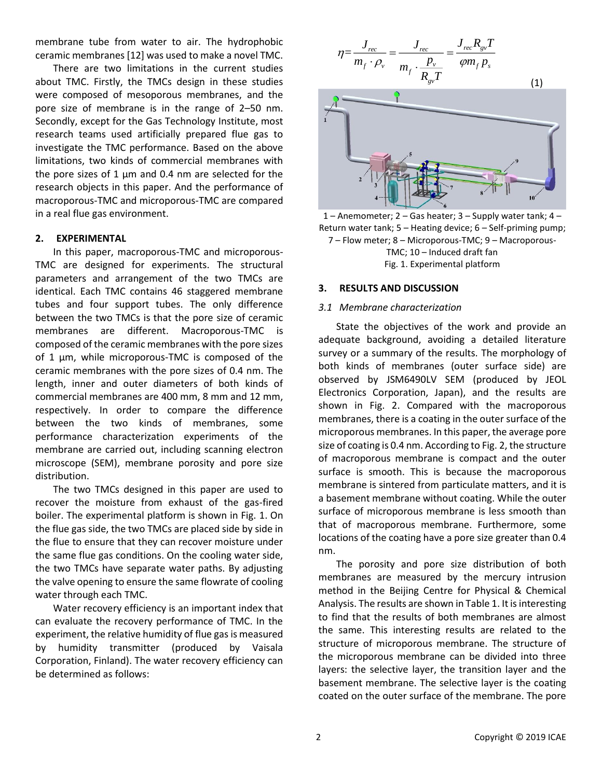membrane tube from water to air. The hydrophobic ceramic membranes [12] was used to make a novel TMC.

There are two limitations in the current studies about TMC. Firstly, the TMCs design in these studies were composed of mesoporous membranes, and the pore size of membrane is in the range of 2–50 nm. Secondly, except for the Gas Technology Institute, most research teams used artificially prepared flue gas to investigate the TMC performance. Based on the above limitations, two kinds of commercial membranes with the pore sizes of 1  $\mu$ m and 0.4 nm are selected for the research objects in this paper. And the performance of macroporous-TMC and microporous-TMC are compared in a real flue gas environment.

## **2. EXPERIMENTAL**

In this paper, macroporous-TMC and microporous-TMC are designed for experiments. The structural parameters and arrangement of the two TMCs are identical. Each TMC contains 46 staggered membrane tubes and four support tubes. The only difference between the two TMCs is that the pore size of ceramic membranes are different. Macroporous-TMC is composed of the ceramic membranes with the pore sizes of 1 μm, while microporous-TMC is composed of the ceramic membranes with the pore sizes of 0.4 nm. The length, inner and outer diameters of both kinds of commercial membranes are 400 mm, 8 mm and 12 mm, respectively. In order to compare the difference between the two kinds of membranes, some performance characterization experiments of the membrane are carried out, including scanning electron microscope (SEM), membrane porosity and pore size distribution.

The two TMCs designed in this paper are used to recover the moisture from exhaust of the gas-fired boiler. The experimental platform is shown in Fig. 1. On the flue gas side, the two TMCs are placed side by side in the flue to ensure that they can recover moisture under the same flue gas conditions. On the cooling water side, the two TMCs have separate water paths. By adjusting the valve opening to ensure the same flowrate of cooling water through each TMC.

Water recovery efficiency is an important index that can evaluate the recovery performance of TMC. In the experiment, the relative humidity of flue gas is measured by humidity transmitter (produced by Vaisala Corporation, Finland). The water recovery efficiency can be determined as follows:



1 – Anemometer; 2 – Gas heater; 3 – Supply water tank; 4 – Return water tank; 5 – Heating device; 6 – Self-priming pump; 7 – Flow meter; 8 – Microporous-TMC; 9 – Macroporous-TMC; 10 – Induced draft fan Fig. 1. Experimental platform

## **3. RESULTS AND DISCUSSION**

## *3.1 Membrane characterization*

State the objectives of the work and provide an adequate background, avoiding a detailed literature survey or a summary of the results. The morphology of both kinds of membranes (outer surface side) are observed by JSM6490LV SEM (produced by JEOL Electronics Corporation, Japan), and the results are shown in Fig. 2. Compared with the macroporous membranes, there is a coating in the outer surface of the microporous membranes. In this paper, the average pore size of coating is 0.4 nm. According to Fig. 2, the structure of macroporous membrane is compact and the outer surface is smooth. This is because the macroporous membrane is sintered from particulate matters, and it is a basement membrane without coating. While the outer surface of microporous membrane is less smooth than that of macroporous membrane. Furthermore, some locations of the coating have a pore size greater than 0.4 nm.

The porosity and pore size distribution of both membranes are measured by the mercury intrusion method in the Beijing Centre for Physical & Chemical Analysis. The results are shown in Table 1. It is interesting to find that the results of both membranes are almost the same. This interesting results are related to the structure of microporous membrane. The structure of the microporous membrane can be divided into three layers: the selective layer, the transition layer and the basement membrane. The selective layer is the coating coated on the outer surface of the membrane. The pore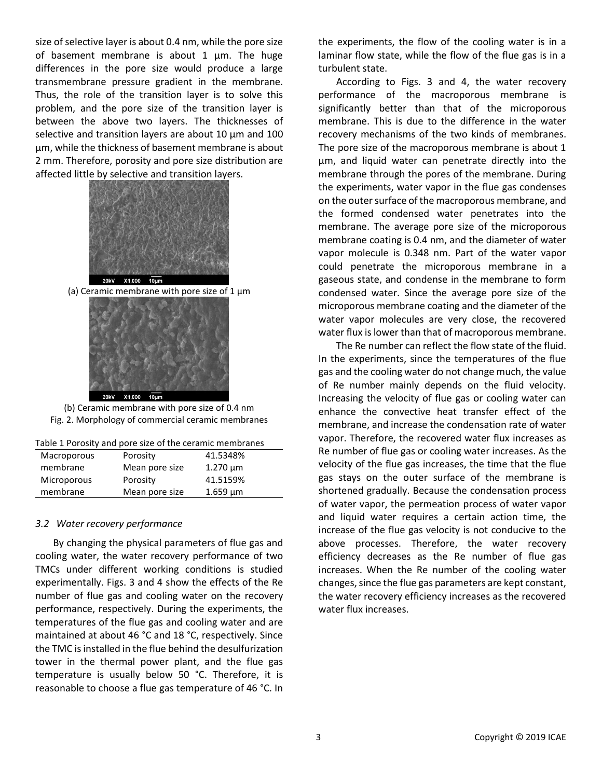size of selective layer is about 0.4 nm, while the pore size of basement membrane is about 1 μm. The huge differences in the pore size would produce a large transmembrane pressure gradient in the membrane. Thus, the role of the transition layer is to solve this problem, and the pore size of the transition layer is between the above two layers. The thicknesses of selective and transition layers are about 10 μm and 100 μm, while the thickness of basement membrane is about 2 mm. Therefore, porosity and pore size distribution are affected little by selective and transition layers.



(a) Ceramic membrane with pore size of 1  $\mu$ m



(b) Ceramic membrane with pore size of 0.4 nm Fig. 2. Morphology of commercial ceramic membranes

| Table 1 Porosity and pore size of the ceramic membranes |  |
|---------------------------------------------------------|--|
|---------------------------------------------------------|--|

| Macroporous | Porosity       | 41.5348%      |  |
|-------------|----------------|---------------|--|
| membrane    | Mean pore size | $1.270 \mu m$ |  |
| Microporous | Porosity       | 41.5159%      |  |
| membrane    | Mean pore size | $1.659 \mu m$ |  |
|             |                |               |  |

#### *3.2 Water recovery performance*

By changing the physical parameters of flue gas and cooling water, the water recovery performance of two TMCs under different working conditions is studied experimentally. Figs. 3 and 4 show the effects of the Re number of flue gas and cooling water on the recovery performance, respectively. During the experiments, the temperatures of the flue gas and cooling water and are maintained at about 46 °C and 18 °C, respectively. Since the TMC is installed in the flue behind the desulfurization tower in the thermal power plant, and the flue gas temperature is usually below 50 °C. Therefore, it is reasonable to choose a flue gas temperature of 46 °C. In

the experiments, the flow of the cooling water is in a laminar flow state, while the flow of the flue gas is in a turbulent state.

According to Figs. 3 and 4, the water recovery performance of the macroporous membrane is significantly better than that of the microporous membrane. This is due to the difference in the water recovery mechanisms of the two kinds of membranes. The pore size of the macroporous membrane is about 1 μm, and liquid water can penetrate directly into the membrane through the pores of the membrane. During the experiments, water vapor in the flue gas condenses on the outer surface of the macroporous membrane, and the formed condensed water penetrates into the membrane. The average pore size of the microporous membrane coating is 0.4 nm, and the diameter of water vapor molecule is 0.348 nm. Part of the water vapor could penetrate the microporous membrane in a gaseous state, and condense in the membrane to form condensed water. Since the average pore size of the microporous membrane coating and the diameter of the water vapor molecules are very close, the recovered water flux is lower than that of macroporous membrane.

The Re number can reflect the flow state of the fluid. In the experiments, since the temperatures of the flue gas and the cooling water do not change much, the value of Re number mainly depends on the fluid velocity. Increasing the velocity of flue gas or cooling water can enhance the convective heat transfer effect of the membrane, and increase the condensation rate of water vapor. Therefore, the recovered water flux increases as Re number of flue gas or cooling water increases. As the velocity of the flue gas increases, the time that the flue gas stays on the outer surface of the membrane is shortened gradually. Because the condensation process of water vapor, the permeation process of water vapor and liquid water requires a certain action time, the increase of the flue gas velocity is not conducive to the above processes. Therefore, the water recovery efficiency decreases as the Re number of flue gas increases. When the Re number of the cooling water changes, since the flue gas parameters are kept constant, the water recovery efficiency increases as the recovered water flux increases.